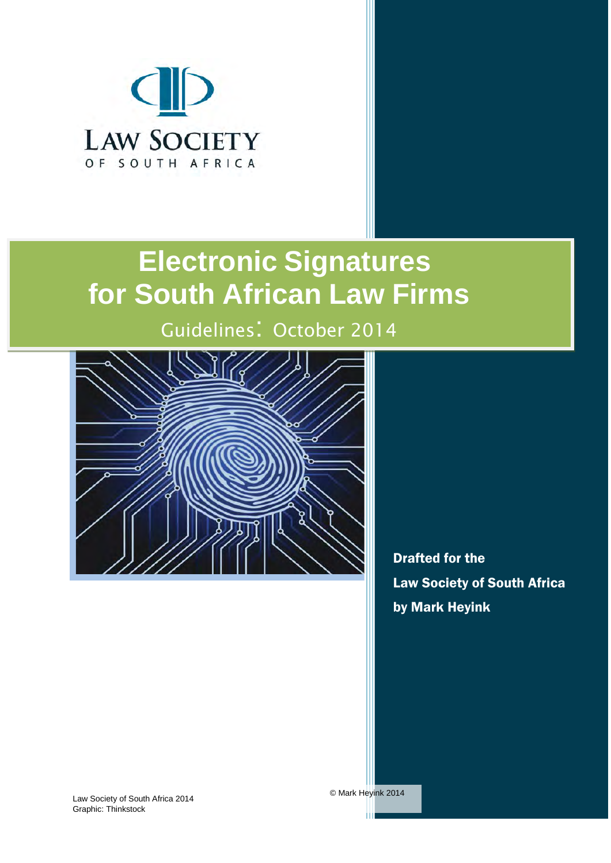

# **Electronic Signatures for South African Law Firms**

Guidelines: October 2014



Drafted for the Law Society of South Africa by Mark Heyink

Law Society of South Africa 2014 Graphic: Thinkstock

Ш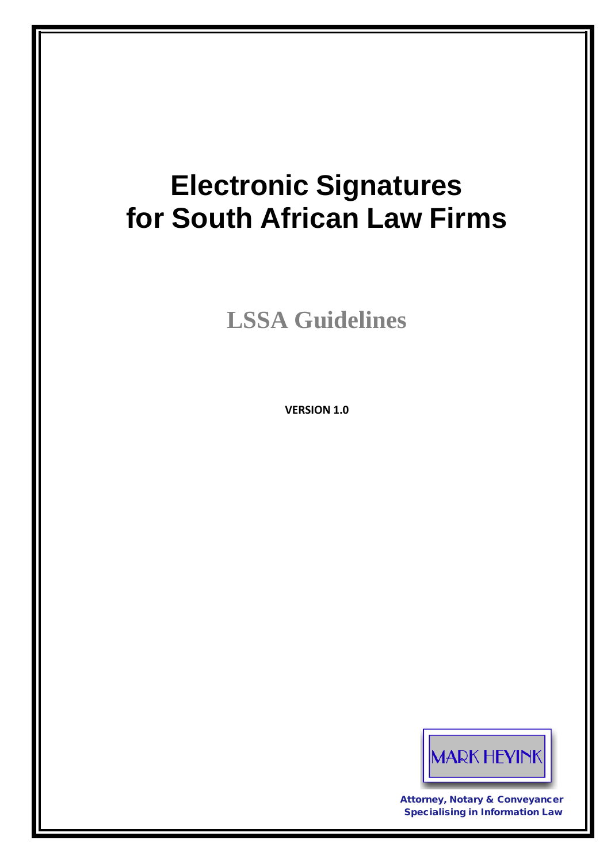# **Electronic Signatures for South African Law Firms**

**LSSA Guidelines**

**VERSION 1.0**



Attorney, Notary & Conveyancer Specialising in Information Law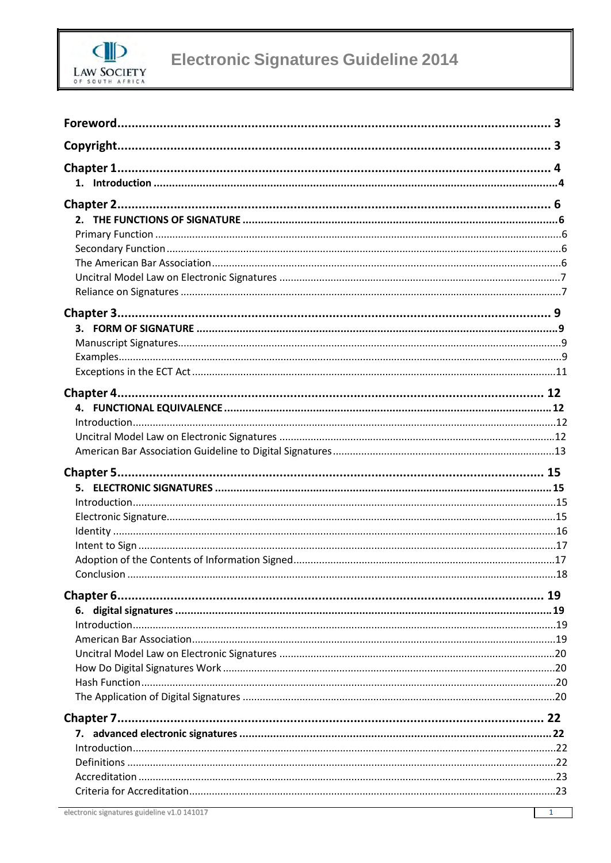

### Electronic Signatures Guideline 2014

| Conclusion. |    |
|-------------|----|
| Chapter 6   | 19 |
|             |    |
|             |    |
|             |    |
|             |    |
|             |    |
|             |    |
|             |    |
|             |    |
|             |    |
|             |    |
|             |    |
|             |    |
|             |    |

 $\mathcal{L}_{\mathcal{A}}$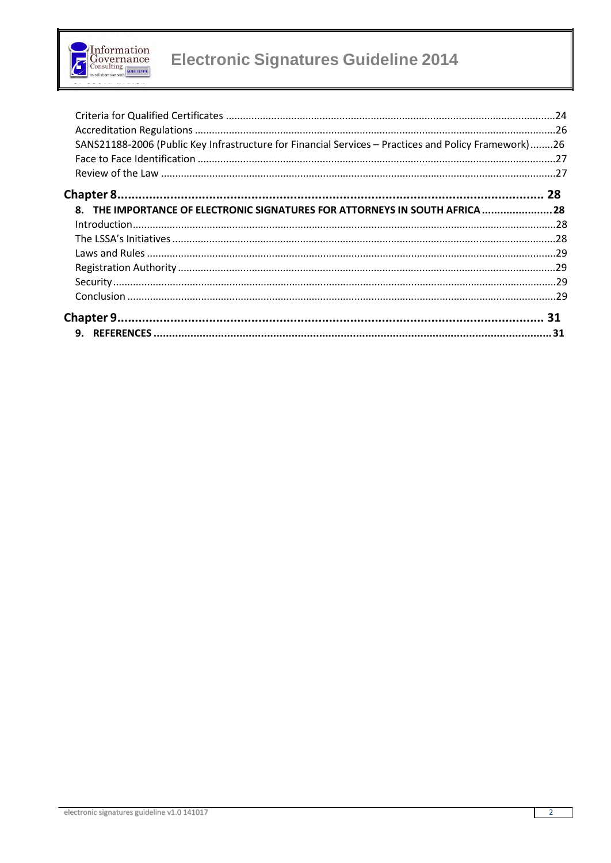

### Electronic Signatures Guideline 2014

| SANS21188-2006 (Public Key Infrastructure for Financial Services - Practices and Policy Framework)26 |  |
|------------------------------------------------------------------------------------------------------|--|
|                                                                                                      |  |
|                                                                                                      |  |
|                                                                                                      |  |
| 8. THE IMPORTANCE OF ELECTRONIC SIGNATURES FOR ATTORNEYS IN SOUTH AFRICA  28                         |  |
|                                                                                                      |  |
|                                                                                                      |  |
|                                                                                                      |  |
|                                                                                                      |  |
|                                                                                                      |  |
|                                                                                                      |  |
|                                                                                                      |  |
|                                                                                                      |  |

 $\mathcal{L}_{\mathcal{A}}$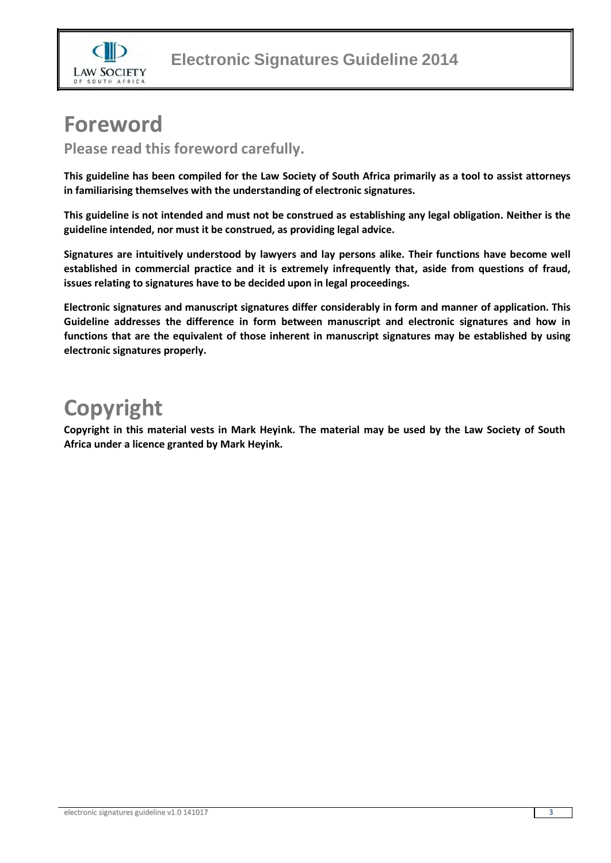### **Foreword**

**LAW SOCIETY** 

**Please read this foreword carefully.**

**This guideline has been compiled for the Law Society of South Africa primarily as a tool to assist attorneys in familiarising themselves with the understanding of electronic signatures.**

**This guideline is not intended and must not be construed as establishing any legal obligation. Neither is the guideline intended, nor must it be construed, as providing legal advice.**

**Signatures are intuitively understood by lawyers and lay persons alike. Their functions have become well established in commercial practice and it is extremely infrequently that, aside from questions of fraud, issues relating to signatures have to be decided upon in legal proceedings.**

**Electronic signatures and manuscript signatures differ considerably in form and manner of application. This Guideline addresses the difference in form between manuscript and electronic signatures and how in functions that are the equivalent of those inherent in manuscript signatures may be established by using electronic signatures properly.**

### **Copyright**

**Copyright in this material vests in Mark Heyink. The material may be used by the Law Society of South Africa under a licence granted by Mark Heyink.**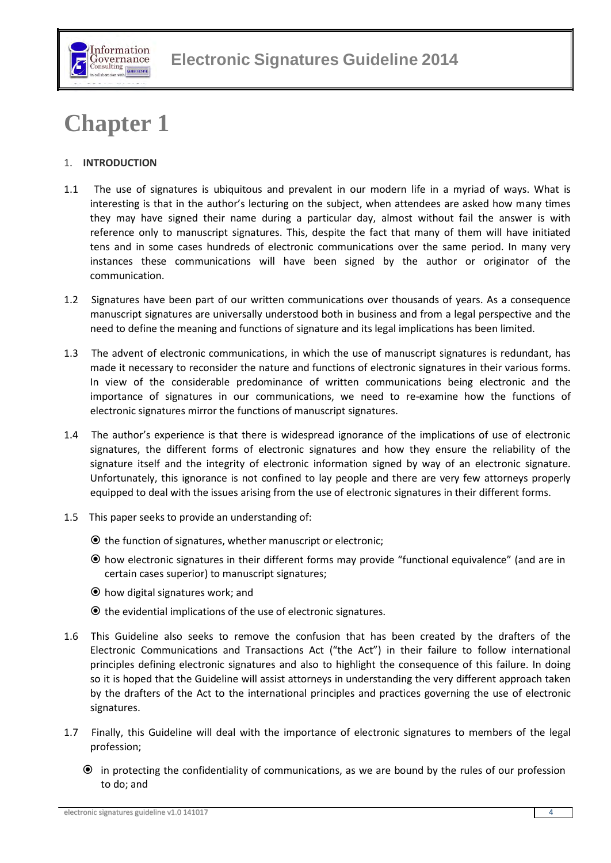

#### 1. **INTRODUCTION**

- 1.1 The use of signatures is ubiquitous and prevalent in our modern life in a myriad of ways. What is interesting is that in the author's lecturing on the subject, when attendees are asked how many times they may have signed their name during a particular day, almost without fail the answer is with reference only to manuscript signatures. This, despite the fact that many of them will have initiated tens and in some cases hundreds of electronic communications over the same period. In many very instances these communications will have been signed by the author or originator of the communication.
- 1.2 Signatures have been part of our written communications over thousands of years. As a consequence manuscript signatures are universally understood both in business and from a legal perspective and the need to define the meaning and functions of signature and its legal implications has been limited.
- 1.3 The advent of electronic communications, in which the use of manuscript signatures is redundant, has made it necessary to reconsider the nature and functions of electronic signatures in their various forms. In view of the considerable predominance of written communications being electronic and the importance of signatures in our communications, we need to re-examine how the functions of electronic signatures mirror the functions of manuscript signatures.
- 1.4 The author's experience is that there is widespread ignorance of the implications of use of electronic signatures, the different forms of electronic signatures and how they ensure the reliability of the signature itself and the integrity of electronic information signed by way of an electronic signature. Unfortunately, this ignorance is not confined to lay people and there are very few attorneys properly equipped to deal with the issues arising from the use of electronic signatures in their different forms.
- 1.5 This paper seeks to provide an understanding of:
	- $\odot$  the function of signatures, whether manuscript or electronic;
	- how electronic signatures in their different forms may provide "functional equivalence" (and are in certain cases superior) to manuscript signatures;
	- how digital signatures work; and
	- $\odot$  the evidential implications of the use of electronic signatures.
- 1.6 This Guideline also seeks to remove the confusion that has been created by the drafters of the Electronic Communications and Transactions Act ("the Act") in their failure to follow international principles defining electronic signatures and also to highlight the consequence of this failure. In doing so it is hoped that the Guideline will assist attorneys in understanding the very different approach taken by the drafters of the Act to the international principles and practices governing the use of electronic signatures.
- 1.7 Finally, this Guideline will deal with the importance of electronic signatures to members of the legal profession;
	- $\odot$  in protecting the confidentiality of communications, as we are bound by the rules of our profession to do; and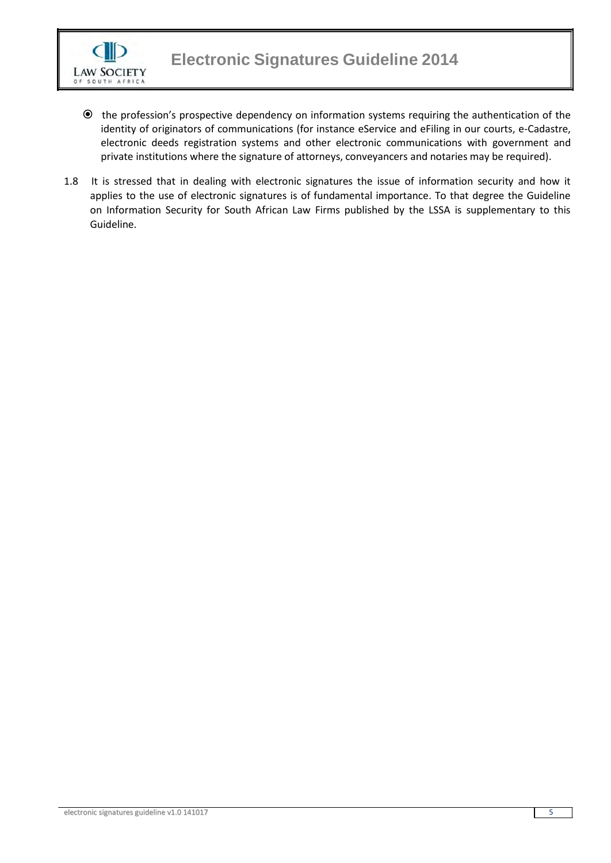

- the profession's prospective dependency on information systems requiring the authentication of the identity of originators of communications (for instance eService and eFiling in our courts, e-Cadastre, electronic deeds registration systems and other electronic communications with government and private institutions where the signature of attorneys, conveyancers and notaries may be required).
- 1.8 It is stressed that in dealing with electronic signatures the issue of information security and how it applies to the use of electronic signatures is of fundamental importance. To that degree the Guideline on Information Security for South African Law Firms published by the LSSA is supplementary to this Guideline.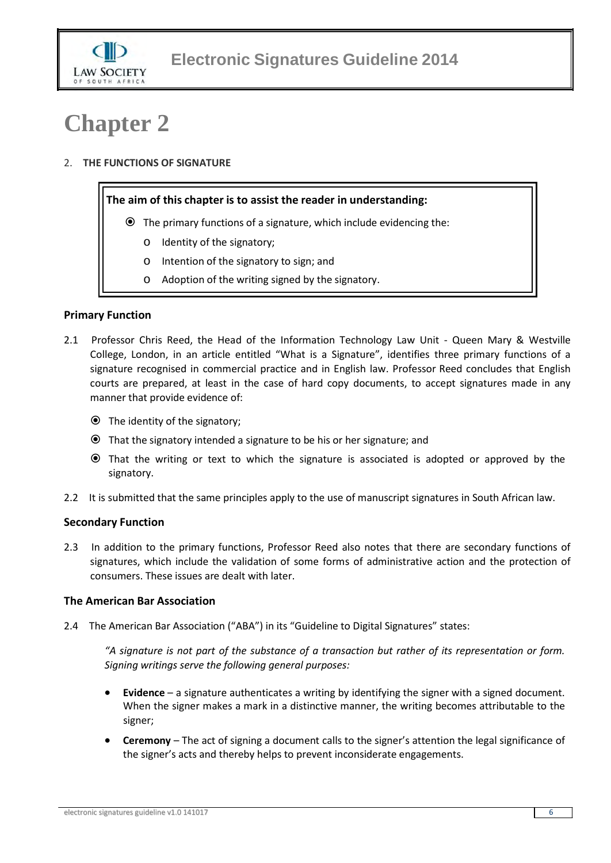

#### 2. **THE FUNCTIONS OF SIGNATURE**

#### **The aim of this chapter is to assist the reader in understanding:**

- The primary functions of a signature, which include evidencing the:
	- o Identity of the signatory;
	- o Intention of the signatory to sign; and
	- o Adoption of the writing signed by the signatory.

#### **Primary Function**

- 2.1 Professor Chris Reed, the Head of the Information Technology Law Unit Queen Mary & Westville College, London, in an article entitled "What is a Signature", identifies three primary functions of a signature recognised in commercial practice and in English law. Professor Reed concludes that English courts are prepared, at least in the case of hard copy documents, to accept signatures made in any manner that provide evidence of:
	- The identity of the signatory;
	- That the signatory intended a signature to be his or her signature; and
	- That the writing or text to which the signature is associated is adopted or approved by the signatory.
- 2.2 It is submitted that the same principles apply to the use of manuscript signatures in South African law.

#### **Secondary Function**

2.3 In addition to the primary functions, Professor Reed also notes that there are secondary functions of signatures, which include the validation of some forms of administrative action and the protection of consumers. These issues are dealt with later.

#### **The American Bar Association**

2.4 The American Bar Association ("ABA") in its "Guideline to Digital Signatures" states:

*"A signature is not part of the substance of a transaction but rather of its representation or form. Signing writings serve the following general purposes:*

- **Evidence**  a signature authenticates a writing by identifying the signer with a signed document. When the signer makes a mark in a distinctive manner, the writing becomes attributable to the signer;
- **Ceremony**  The act of signing a document calls to the signer's attention the legal significance of the signer's acts and thereby helps to prevent inconsiderate engagements.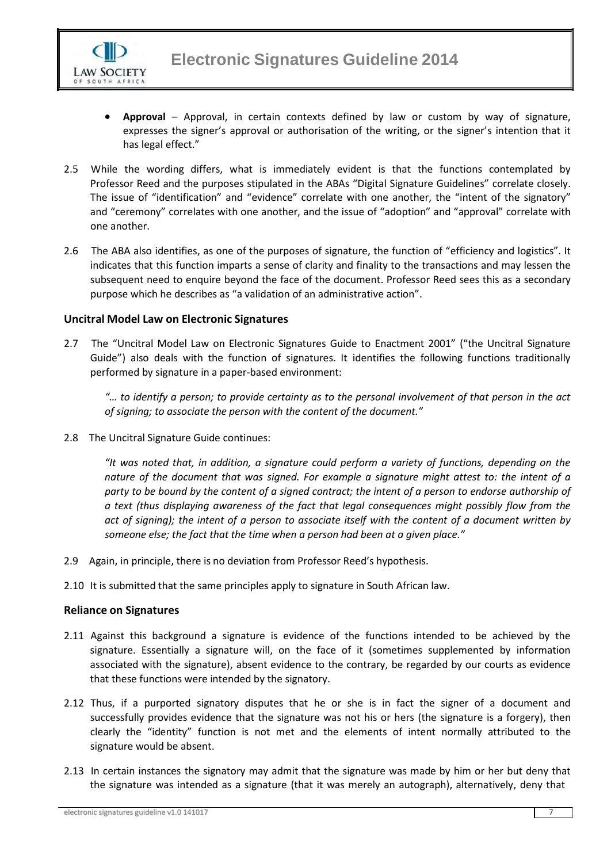

- **Approval**  Approval, in certain contexts defined by law or custom by way of signature, expresses the signer's approval or authorisation of the writing, or the signer's intention that it has legal effect."
- 2.5 While the wording differs, what is immediately evident is that the functions contemplated by Professor Reed and the purposes stipulated in the ABAs "Digital Signature Guidelines" correlate closely. The issue of "identification" and "evidence" correlate with one another, the "intent of the signatory" and "ceremony" correlates with one another, and the issue of "adoption" and "approval" correlate with one another.
- 2.6 The ABA also identifies, as one of the purposes of signature, the function of "efficiency and logistics". It indicates that this function imparts a sense of clarity and finality to the transactions and may lessen the subsequent need to enquire beyond the face of the document. Professor Reed sees this as a secondary purpose which he describes as "a validation of an administrative action".

#### **Uncitral Model Law on Electronic Signatures**

2.7 The "Uncitral Model Law on Electronic Signatures Guide to Enactment 2001" ("the Uncitral Signature Guide") also deals with the function of signatures. It identifies the following functions traditionally performed by signature in a paper-based environment:

*"… to identify a person; to provide certainty as to the personal involvement of that person in the act of signing; to associate the person with the content of the document."*

2.8 The Uncitral Signature Guide continues:

*"It was noted that, in addition, a signature could perform a variety of functions, depending on the nature of the document that was signed. For example a signature might attest to: the intent of a party to be bound by the content of a signed contract; the intent of a person to endorse authorship of a text (thus displaying awareness of the fact that legal consequences might possibly flow from the act of signing); the intent of a person to associate itself with the content of a document written by someone else; the fact that the time when a person had been at a given place."*

- 2.9 Again, in principle, there is no deviation from Professor Reed's hypothesis.
- 2.10 It is submitted that the same principles apply to signature in South African law.

#### **Reliance on Signatures**

- 2.11 Against this background a signature is evidence of the functions intended to be achieved by the signature. Essentially a signature will, on the face of it (sometimes supplemented by information associated with the signature), absent evidence to the contrary, be regarded by our courts as evidence that these functions were intended by the signatory.
- 2.12 Thus, if a purported signatory disputes that he or she is in fact the signer of a document and successfully provides evidence that the signature was not his or hers (the signature is a forgery), then clearly the "identity" function is not met and the elements of intent normally attributed to the signature would be absent.
- 2.13 In certain instances the signatory may admit that the signature was made by him or her but deny that the signature was intended as a signature (that it was merely an autograph), alternatively, deny that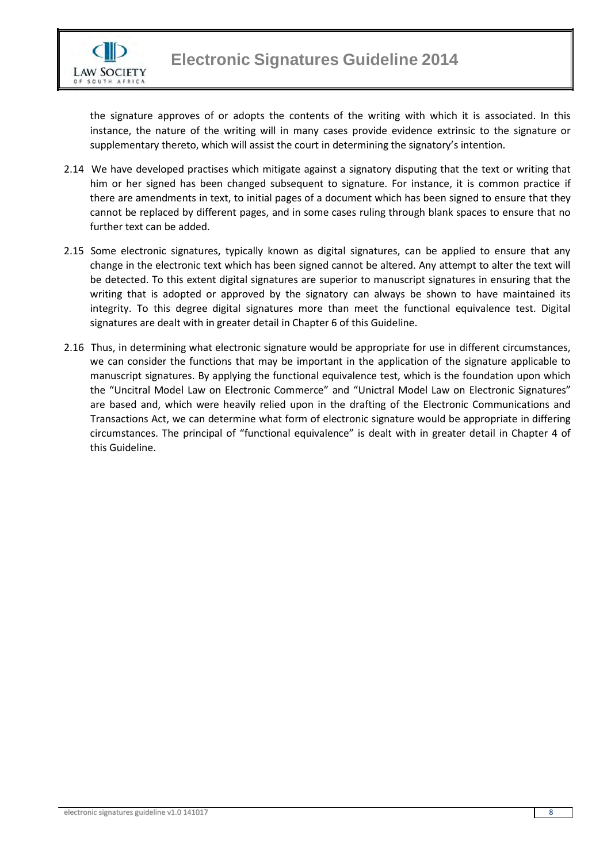

the signature approves of or adopts the contents of the writing with which it is associated. In this instance, the nature of the writing will in many cases provide evidence extrinsic to the signature or supplementary thereto, which will assist the court in determining the signatory's intention.

- 2.14 We have developed practises which mitigate against a signatory disputing that the text or writing that him or her signed has been changed subsequent to signature. For instance, it is common practice if there are amendments in text, to initial pages of a document which has been signed to ensure that they cannot be replaced by different pages, and in some cases ruling through blank spaces to ensure that no further text can be added.
- 2.15 Some electronic signatures, typically known as digital signatures, can be applied to ensure that any change in the electronic text which has been signed cannot be altered. Any attempt to alter the text will be detected. To this extent digital signatures are superior to manuscript signatures in ensuring that the writing that is adopted or approved by the signatory can always be shown to have maintained its integrity. To this degree digital signatures more than meet the functional equivalence test. Digital signatures are dealt with in greater detail in Chapter 6 of this Guideline.
- 2.16 Thus, in determining what electronic signature would be appropriate for use in different circumstances, we can consider the functions that may be important in the application of the signature applicable to manuscript signatures. By applying the functional equivalence test, which is the foundation upon which the "Uncitral Model Law on Electronic Commerce" and "Unictral Model Law on Electronic Signatures" are based and, which were heavily relied upon in the drafting of the Electronic Communications and Transactions Act, we can determine what form of electronic signature would be appropriate in differing circumstances. The principal of "functional equivalence" is dealt with in greater detail in Chapter 4 of this Guideline.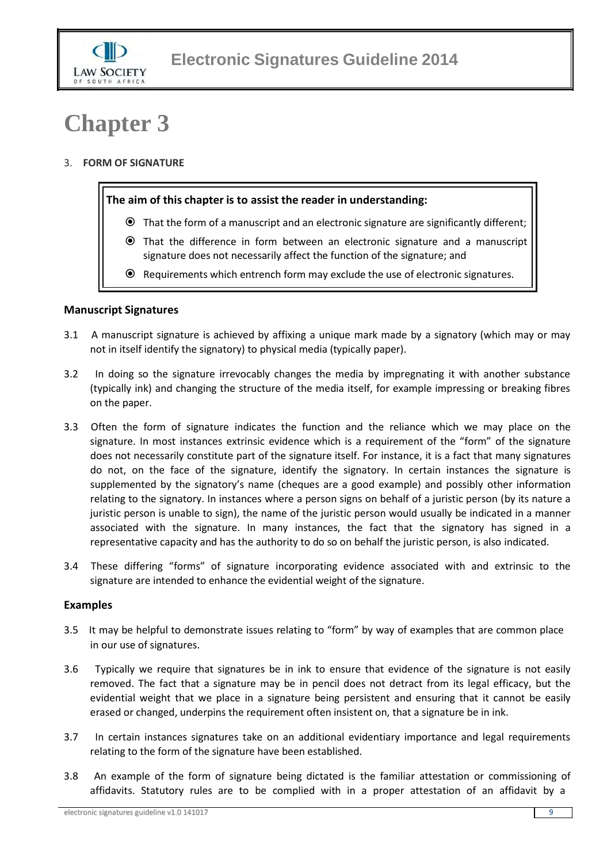

#### 3. **FORM OF SIGNATURE**

#### **The aim of this chapter is to assist the reader in understanding:**

- That the form of a manuscript and an electronic signature are significantly different;
- That the difference in form between an electronic signature and a manuscript signature does not necessarily affect the function of the signature; and
- Requirements which entrench form may exclude the use of electronic signatures.

#### **Manuscript Signatures**

- 3.1 A manuscript signature is achieved by affixing a unique mark made by a signatory (which may or may not in itself identify the signatory) to physical media (typically paper).
- 3.2 In doing so the signature irrevocably changes the media by impregnating it with another substance (typically ink) and changing the structure of the media itself, for example impressing or breaking fibres on the paper.
- 3.3 Often the form of signature indicates the function and the reliance which we may place on the signature. In most instances extrinsic evidence which is a requirement of the "form" of the signature does not necessarily constitute part of the signature itself. For instance, it is a fact that many signatures do not, on the face of the signature, identify the signatory. In certain instances the signature is supplemented by the signatory's name (cheques are a good example) and possibly other information relating to the signatory. In instances where a person signs on behalf of a juristic person (by its nature a juristic person is unable to sign), the name of the juristic person would usually be indicated in a manner associated with the signature. In many instances, the fact that the signatory has signed in a representative capacity and has the authority to do so on behalf the juristic person, is also indicated.
- 3.4 These differing "forms" of signature incorporating evidence associated with and extrinsic to the signature are intended to enhance the evidential weight of the signature.

#### **Examples**

- 3.5 It may be helpful to demonstrate issues relating to "form" by way of examples that are common place in our use of signatures.
- 3.6 Typically we require that signatures be in ink to ensure that evidence of the signature is not easily removed. The fact that a signature may be in pencil does not detract from its legal efficacy, but the evidential weight that we place in a signature being persistent and ensuring that it cannot be easily erased or changed, underpins the requirement often insistent on, that a signature be in ink.
- 3.7 In certain instances signatures take on an additional evidentiary importance and legal requirements relating to the form of the signature have been established.
- 3.8 An example of the form of signature being dictated is the familiar attestation or commissioning of affidavits. Statutory rules are to be complied with in a proper attestation of an affidavit by a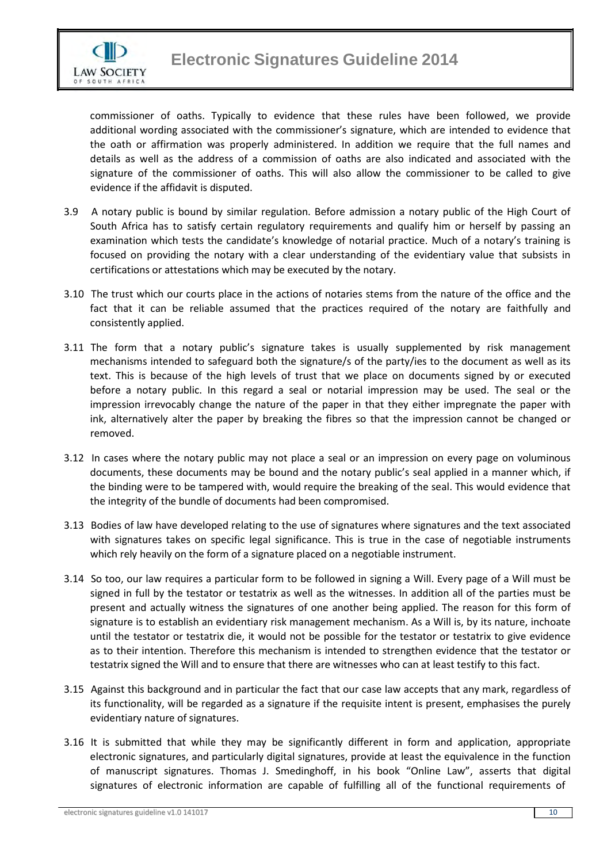

**Electronic Signatures Guideline 2014**

commissioner of oaths. Typically to evidence that these rules have been followed, we provide additional wording associated with the commissioner's signature, which are intended to evidence that the oath or affirmation was properly administered. In addition we require that the full names and details as well as the address of a commission of oaths are also indicated and associated with the signature of the commissioner of oaths. This will also allow the commissioner to be called to give evidence if the affidavit is disputed.

- 3.9 A notary public is bound by similar regulation. Before admission a notary public of the High Court of South Africa has to satisfy certain regulatory requirements and qualify him or herself by passing an examination which tests the candidate's knowledge of notarial practice. Much of a notary's training is focused on providing the notary with a clear understanding of the evidentiary value that subsists in certifications or attestations which may be executed by the notary.
- 3.10 The trust which our courts place in the actions of notaries stems from the nature of the office and the fact that it can be reliable assumed that the practices required of the notary are faithfully and consistently applied.
- 3.11 The form that a notary public's signature takes is usually supplemented by risk management mechanisms intended to safeguard both the signature/s of the party/ies to the document as well as its text. This is because of the high levels of trust that we place on documents signed by or executed before a notary public. In this regard a seal or notarial impression may be used. The seal or the impression irrevocably change the nature of the paper in that they either impregnate the paper with ink, alternatively alter the paper by breaking the fibres so that the impression cannot be changed or removed.
- 3.12 In cases where the notary public may not place a seal or an impression on every page on voluminous documents, these documents may be bound and the notary public's seal applied in a manner which, if the binding were to be tampered with, would require the breaking of the seal. This would evidence that the integrity of the bundle of documents had been compromised.
- 3.13 Bodies of law have developed relating to the use of signatures where signatures and the text associated with signatures takes on specific legal significance. This is true in the case of negotiable instruments which rely heavily on the form of a signature placed on a negotiable instrument.
- 3.14 So too, our law requires a particular form to be followed in signing a Will. Every page of a Will must be signed in full by the testator or testatrix as well as the witnesses. In addition all of the parties must be present and actually witness the signatures of one another being applied. The reason for this form of signature is to establish an evidentiary risk management mechanism. As a Will is, by its nature, inchoate until the testator or testatrix die, it would not be possible for the testator or testatrix to give evidence as to their intention. Therefore this mechanism is intended to strengthen evidence that the testator or testatrix signed the Will and to ensure that there are witnesses who can at least testify to this fact.
- 3.15 Against this background and in particular the fact that our case law accepts that any mark, regardless of its functionality, will be regarded as a signature if the requisite intent is present, emphasises the purely evidentiary nature of signatures.
- 3.16 It is submitted that while they may be significantly different in form and application, appropriate electronic signatures, and particularly digital signatures, provide at least the equivalence in the function of manuscript signatures. Thomas J. Smedinghoff, in his book "Online Law", asserts that digital signatures of electronic information are capable of fulfilling all of the functional requirements of

electronic signatures guideline v1.0 141017 10 and the state of the state of the state of the state of the state of the state of the state of the state of the state of the state of the state of the state of the state of th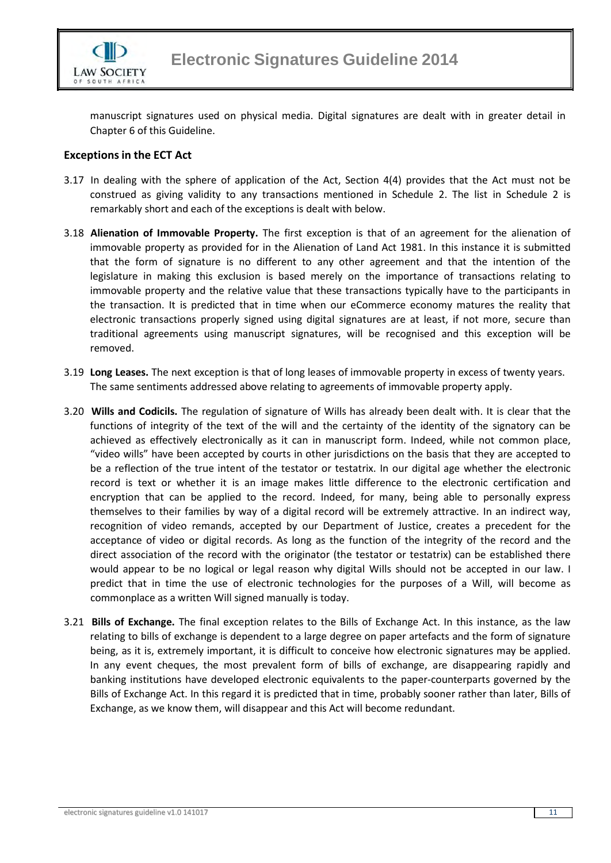

manuscript signatures used on physical media. Digital signatures are dealt with in greater detail in Chapter 6 of this Guideline.

#### **Exceptions in the ECT Act**

- 3.17 In dealing with the sphere of application of the Act, Section 4(4) provides that the Act must not be construed as giving validity to any transactions mentioned in Schedule 2. The list in Schedule 2 is remarkably short and each of the exceptions is dealt with below.
- 3.18 **Alienation of Immovable Property.** The first exception is that of an agreement for the alienation of immovable property as provided for in the Alienation of Land Act 1981. In this instance it is submitted that the form of signature is no different to any other agreement and that the intention of the legislature in making this exclusion is based merely on the importance of transactions relating to immovable property and the relative value that these transactions typically have to the participants in the transaction. It is predicted that in time when our eCommerce economy matures the reality that electronic transactions properly signed using digital signatures are at least, if not more, secure than traditional agreements using manuscript signatures, will be recognised and this exception will be removed.
- 3.19 **Long Leases.** The next exception is that of long leases of immovable property in excess of twenty years. The same sentiments addressed above relating to agreements of immovable property apply.
- 3.20 **Wills and Codicils.** The regulation of signature of Wills has already been dealt with. It is clear that the functions of integrity of the text of the will and the certainty of the identity of the signatory can be achieved as effectively electronically as it can in manuscript form. Indeed, while not common place, "video wills" have been accepted by courts in other jurisdictions on the basis that they are accepted to be a reflection of the true intent of the testator or testatrix. In our digital age whether the electronic record is text or whether it is an image makes little difference to the electronic certification and encryption that can be applied to the record. Indeed, for many, being able to personally express themselves to their families by way of a digital record will be extremely attractive. In an indirect way, recognition of video remands, accepted by our Department of Justice, creates a precedent for the acceptance of video or digital records. As long as the function of the integrity of the record and the direct association of the record with the originator (the testator or testatrix) can be established there would appear to be no logical or legal reason why digital Wills should not be accepted in our law. I predict that in time the use of electronic technologies for the purposes of a Will, will become as commonplace as a written Will signed manually is today.
- 3.21 **Bills of Exchange.** The final exception relates to the Bills of Exchange Act. In this instance, as the law relating to bills of exchange is dependent to a large degree on paper artefacts and the form of signature being, as it is, extremely important, it is difficult to conceive how electronic signatures may be applied. In any event cheques, the most prevalent form of bills of exchange, are disappearing rapidly and banking institutions have developed electronic equivalents to the paper-counterparts governed by the Bills of Exchange Act. In this regard it is predicted that in time, probably sooner rather than later, Bills of Exchange, as we know them, will disappear and this Act will become redundant.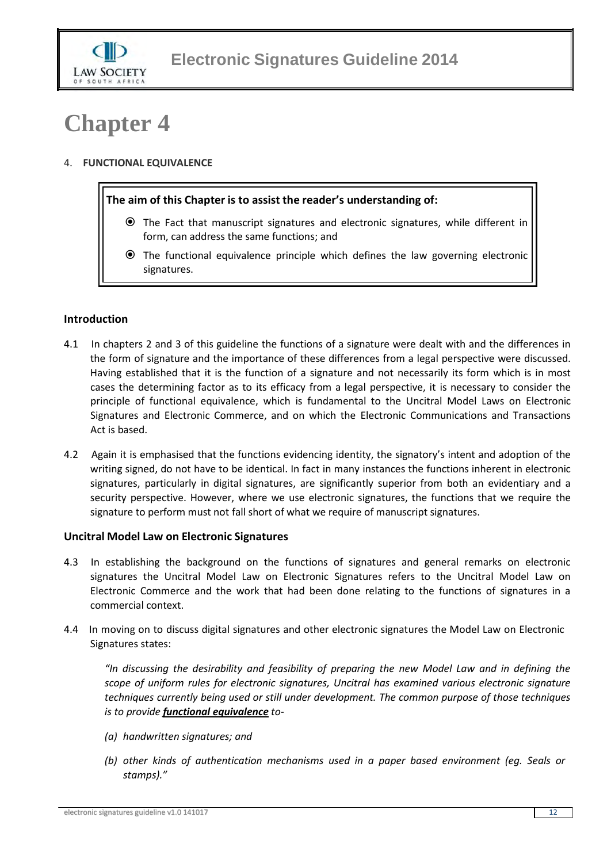

#### 4. **FUNCTIONAL EQUIVALENCE**

#### **The aim of this Chapter is to assist the reader's understanding of:**

- The Fact that manuscript signatures and electronic signatures, while different in form, can address the same functions; and
- The functional equivalence principle which defines the law governing electronic signatures.

#### **Introduction**

- 4.1 In chapters 2 and 3 of this guideline the functions of a signature were dealt with and the differences in the form of signature and the importance of these differences from a legal perspective were discussed. Having established that it is the function of a signature and not necessarily its form which is in most cases the determining factor as to its efficacy from a legal perspective, it is necessary to consider the principle of functional equivalence, which is fundamental to the Uncitral Model Laws on Electronic Signatures and Electronic Commerce, and on which the Electronic Communications and Transactions Act is based.
- 4.2 Again it is emphasised that the functions evidencing identity, the signatory's intent and adoption of the writing signed, do not have to be identical. In fact in many instances the functions inherent in electronic signatures, particularly in digital signatures, are significantly superior from both an evidentiary and a security perspective. However, where we use electronic signatures, the functions that we require the signature to perform must not fall short of what we require of manuscript signatures.

#### **Uncitral Model Law on Electronic Signatures**

- 4.3 In establishing the background on the functions of signatures and general remarks on electronic signatures the Uncitral Model Law on Electronic Signatures refers to the Uncitral Model Law on Electronic Commerce and the work that had been done relating to the functions of signatures in a commercial context.
- 4.4 In moving on to discuss digital signatures and other electronic signatures the Model Law on Electronic Signatures states:

*"In discussing the desirability and feasibility of preparing the new Model Law and in defining the scope of uniform rules for electronic signatures, Uncitral has examined various electronic signature techniques currently being used or still under development. The common purpose of those techniques is to provide functional equivalence to-*

- *(a) handwritten signatures; and*
- *(b) other kinds of authentication mechanisms used in a paper based environment (eg. Seals or stamps)."*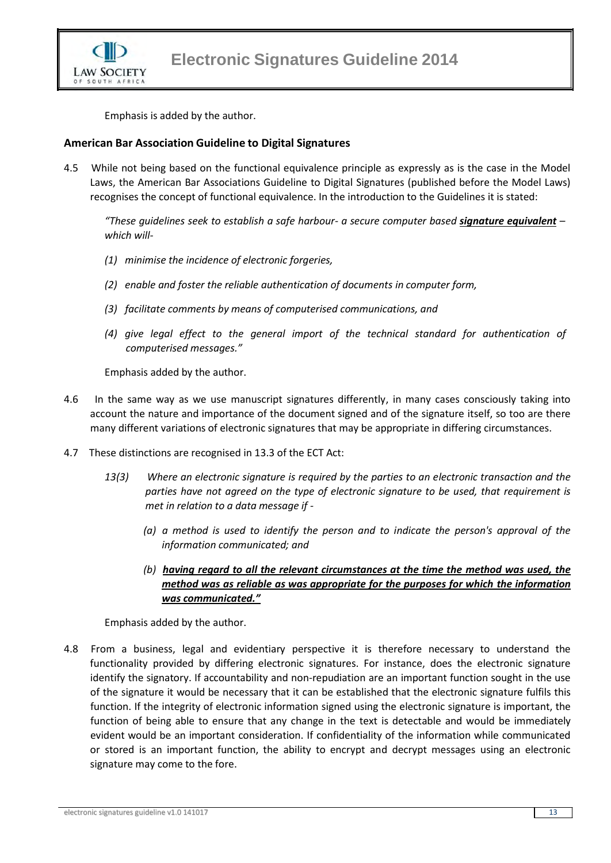

Emphasis is added by the author.

#### **American Bar Association Guideline to Digital Signatures**

4.5 While not being based on the functional equivalence principle as expressly as is the case in the Model Laws, the American Bar Associations Guideline to Digital Signatures (published before the Model Laws) recognises the concept of functional equivalence. In the introduction to the Guidelines it is stated:

*"These guidelines seek to establish a safe harbour- a secure computer based signature equivalent – which will-*

- *(1) minimise the incidence of electronic forgeries,*
- *(2) enable and foster the reliable authentication of documents in computer form,*
- *(3) facilitate comments by means of computerised communications, and*
- *(4) give legal effect to the general import of the technical standard for authentication of computerised messages."*

Emphasis added by the author.

- 4.6 In the same way as we use manuscript signatures differently, in many cases consciously taking into account the nature and importance of the document signed and of the signature itself, so too are there many different variations of electronic signatures that may be appropriate in differing circumstances.
- 4.7 These distinctions are recognised in 13.3 of the ECT Act:
	- *13(3) Where an electronic signature is required by the parties to an electronic transaction and the parties have not agreed on the type of electronic signature to be used, that requirement is met in relation to a data message if -*
		- *(a) a method is used to identify the person and to indicate the person's approval of the information communicated; and*
		- *(b) having regard to all the relevant circumstances at the time the method was used, the method was as reliable as was appropriate for the purposes for which the information was communicated."*

Emphasis added by the author.

4.8 From a business, legal and evidentiary perspective it is therefore necessary to understand the functionality provided by differing electronic signatures. For instance, does the electronic signature identify the signatory. If accountability and non-repudiation are an important function sought in the use of the signature it would be necessary that it can be established that the electronic signature fulfils this function. If the integrity of electronic information signed using the electronic signature is important, the function of being able to ensure that any change in the text is detectable and would be immediately evident would be an important consideration. If confidentiality of the information while communicated or stored is an important function, the ability to encrypt and decrypt messages using an electronic signature may come to the fore.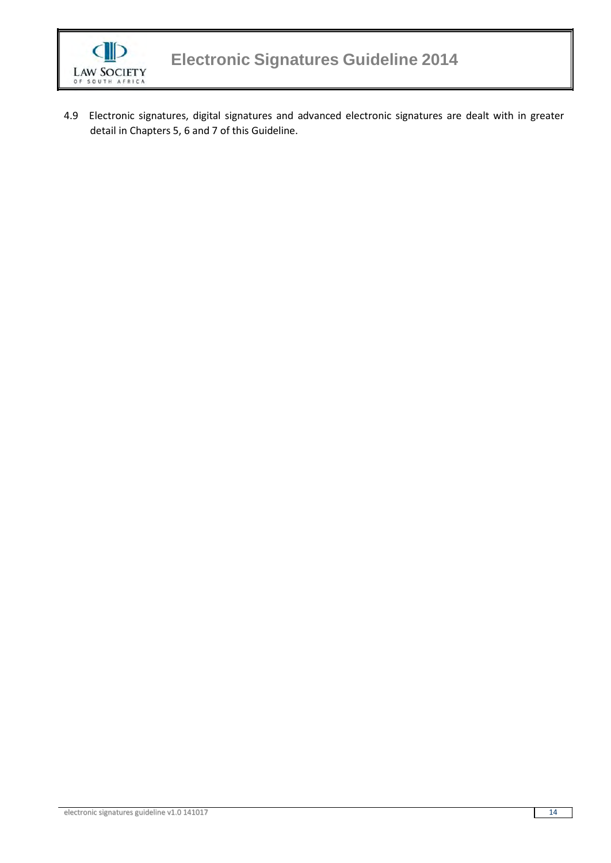

4.9 Electronic signatures, digital signatures and advanced electronic signatures are dealt with in greater detail in Chapters 5, 6 and 7 of this Guideline.

 $\mathcal{L}$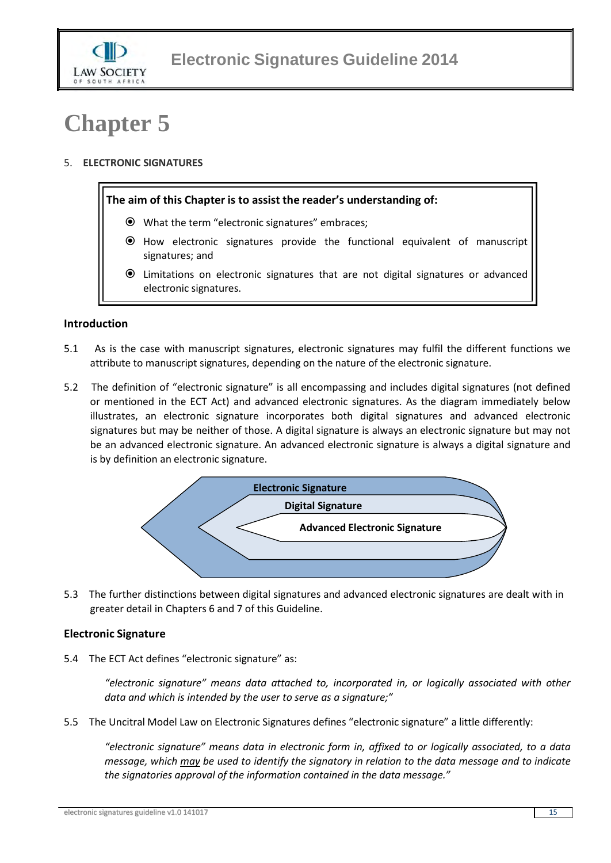

#### 5. **ELECTRONIC SIGNATURES**

#### **The aim of this Chapter is to assist the reader's understanding of:**

- What the term "electronic signatures" embraces;
- How electronic signatures provide the functional equivalent of manuscript signatures; and
- Limitations on electronic signatures that are not digital signatures or advanced electronic signatures.

#### **Introduction**

- 5.1 As is the case with manuscript signatures, electronic signatures may fulfil the different functions we attribute to manuscript signatures, depending on the nature of the electronic signature.
- 5.2 The definition of "electronic signature" is all encompassing and includes digital signatures (not defined or mentioned in the ECT Act) and advanced electronic signatures. As the diagram immediately below illustrates, an electronic signature incorporates both digital signatures and advanced electronic signatures but may be neither of those. A digital signature is always an electronic signature but may not be an advanced electronic signature. An advanced electronic signature is always a digital signature and is by definition an electronic signature.



5.3 The further distinctions between digital signatures and advanced electronic signatures are dealt with in greater detail in Chapters 6 and 7 of this Guideline.

#### **Electronic Signature**

5.4 The ECT Act defines "electronic signature" as:

*"electronic signature" means [data](http://www.internet.org.za/ect_act.html#data) attached to, incorporated in, or logically associated with othe[r](http://www.internet.org.za/ect_act.html#data) [data a](http://www.internet.org.za/ect_act.html#data)nd which is intended by the user to serve as a signature;"*

5.5 The Uncitral Model Law on Electronic Signatures defines "electronic signature" a little differently:

*"electronic signature" means data in electronic form in, affixed to or logically associated, to a data message, which may be used to identify the signatory in relation to the data message and to indicate the signatories approval of the information contained in the data message."*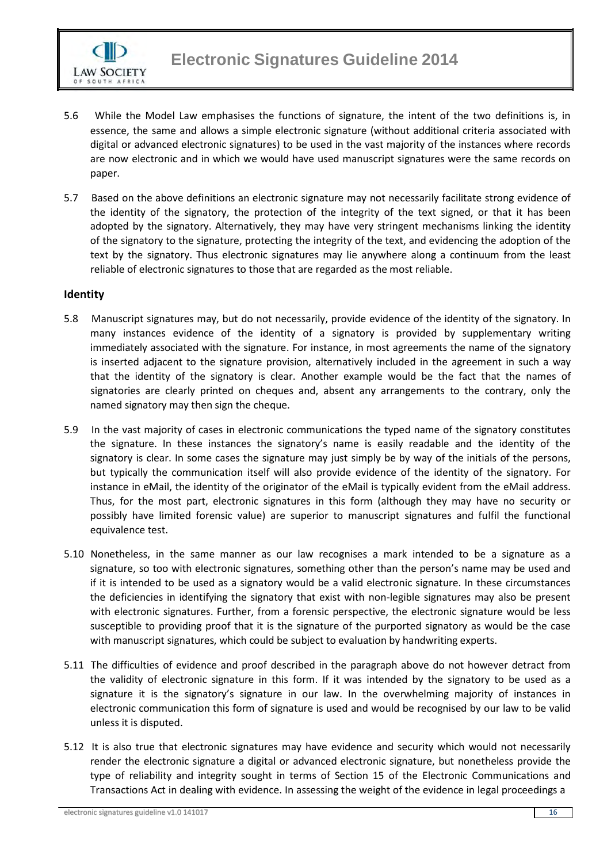

- 5.6 While the Model Law emphasises the functions of signature, the intent of the two definitions is, in essence, the same and allows a simple electronic signature (without additional criteria associated with digital or advanced electronic signatures) to be used in the vast majority of the instances where records are now electronic and in which we would have used manuscript signatures were the same records on paper.
- 5.7 Based on the above definitions an electronic signature may not necessarily facilitate strong evidence of the identity of the signatory, the protection of the integrity of the text signed, or that it has been adopted by the signatory. Alternatively, they may have very stringent mechanisms linking the identity of the signatory to the signature, protecting the integrity of the text, and evidencing the adoption of the text by the signatory. Thus electronic signatures may lie anywhere along a continuum from the least reliable of electronic signatures to those that are regarded as the most reliable.

#### **Identity**

- 5.8 Manuscript signatures may, but do not necessarily, provide evidence of the identity of the signatory. In many instances evidence of the identity of a signatory is provided by supplementary writing immediately associated with the signature. For instance, in most agreements the name of the signatory is inserted adjacent to the signature provision, alternatively included in the agreement in such a way that the identity of the signatory is clear. Another example would be the fact that the names of signatories are clearly printed on cheques and, absent any arrangements to the contrary, only the named signatory may then sign the cheque.
- 5.9 In the vast majority of cases in electronic communications the typed name of the signatory constitutes the signature. In these instances the signatory's name is easily readable and the identity of the signatory is clear. In some cases the signature may just simply be by way of the initials of the persons, but typically the communication itself will also provide evidence of the identity of the signatory. For instance in eMail, the identity of the originator of the eMail is typically evident from the eMail address. Thus, for the most part, electronic signatures in this form (although they may have no security or possibly have limited forensic value) are superior to manuscript signatures and fulfil the functional equivalence test.
- 5.10 Nonetheless, in the same manner as our law recognises a mark intended to be a signature as a signature, so too with electronic signatures, something other than the person's name may be used and if it is intended to be used as a signatory would be a valid electronic signature. In these circumstances the deficiencies in identifying the signatory that exist with non-legible signatures may also be present with electronic signatures. Further, from a forensic perspective, the electronic signature would be less susceptible to providing proof that it is the signature of the purported signatory as would be the case with manuscript signatures, which could be subject to evaluation by handwriting experts.
- 5.11 The difficulties of evidence and proof described in the paragraph above do not however detract from the validity of electronic signature in this form. If it was intended by the signatory to be used as a signature it is the signatory's signature in our law. In the overwhelming majority of instances in electronic communication this form of signature is used and would be recognised by our law to be valid unless it is disputed.
- 5.12 It is also true that electronic signatures may have evidence and security which would not necessarily render the electronic signature a digital or advanced electronic signature, but nonetheless provide the type of reliability and integrity sought in terms of Section 15 of the Electronic Communications and Transactions Act in dealing with evidence. In assessing the weight of the evidence in legal proceedings a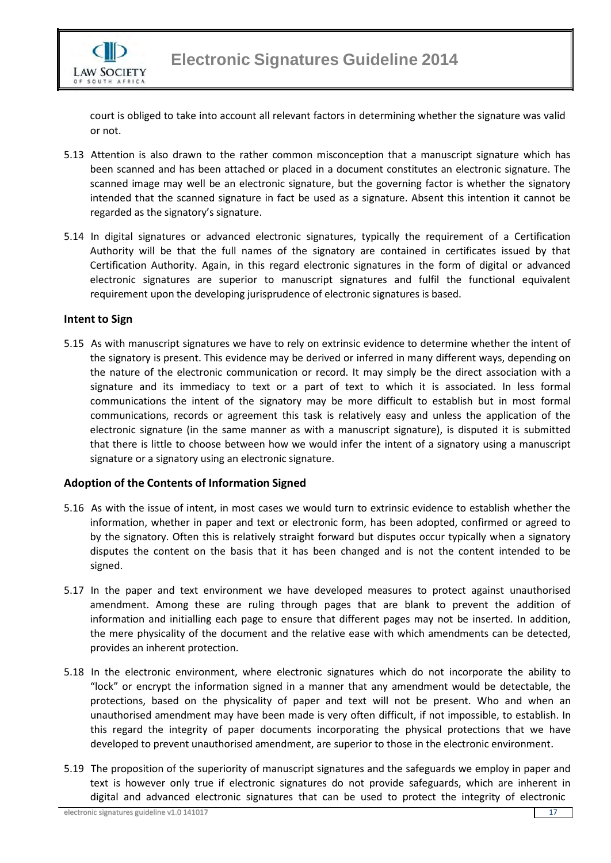

court is obliged to take into account all relevant factors in determining whether the signature was valid or not.

- 5.13 Attention is also drawn to the rather common misconception that a manuscript signature which has been scanned and has been attached or placed in a document constitutes an electronic signature. The scanned image may well be an electronic signature, but the governing factor is whether the signatory intended that the scanned signature in fact be used as a signature. Absent this intention it cannot be regarded as the signatory's signature.
- 5.14 In digital signatures or advanced electronic signatures, typically the requirement of a Certification Authority will be that the full names of the signatory are contained in certificates issued by that Certification Authority. Again, in this regard electronic signatures in the form of digital or advanced electronic signatures are superior to manuscript signatures and fulfil the functional equivalent requirement upon the developing jurisprudence of electronic signatures is based.

#### **Intent to Sign**

5.15 As with manuscript signatures we have to rely on extrinsic evidence to determine whether the intent of the signatory is present. This evidence may be derived or inferred in many different ways, depending on the nature of the electronic communication or record. It may simply be the direct association with a signature and its immediacy to text or a part of text to which it is associated. In less formal communications the intent of the signatory may be more difficult to establish but in most formal communications, records or agreement this task is relatively easy and unless the application of the electronic signature (in the same manner as with a manuscript signature), is disputed it is submitted that there is little to choose between how we would infer the intent of a signatory using a manuscript signature or a signatory using an electronic signature.

#### **Adoption of the Contents of Information Signed**

- 5.16 As with the issue of intent, in most cases we would turn to extrinsic evidence to establish whether the information, whether in paper and text or electronic form, has been adopted, confirmed or agreed to by the signatory. Often this is relatively straight forward but disputes occur typically when a signatory disputes the content on the basis that it has been changed and is not the content intended to be signed.
- 5.17 In the paper and text environment we have developed measures to protect against unauthorised amendment. Among these are ruling through pages that are blank to prevent the addition of information and initialling each page to ensure that different pages may not be inserted. In addition, the mere physicality of the document and the relative ease with which amendments can be detected, provides an inherent protection.
- 5.18 In the electronic environment, where electronic signatures which do not incorporate the ability to "lock" or encrypt the information signed in a manner that any amendment would be detectable, the protections, based on the physicality of paper and text will not be present. Who and when an unauthorised amendment may have been made is very often difficult, if not impossible, to establish. In this regard the integrity of paper documents incorporating the physical protections that we have developed to prevent unauthorised amendment, are superior to those in the electronic environment.
- 5.19 The proposition of the superiority of manuscript signatures and the safeguards we employ in paper and text is however only true if electronic signatures do not provide safeguards, which are inherent in digital and advanced electronic signatures that can be used to protect the integrity of electronic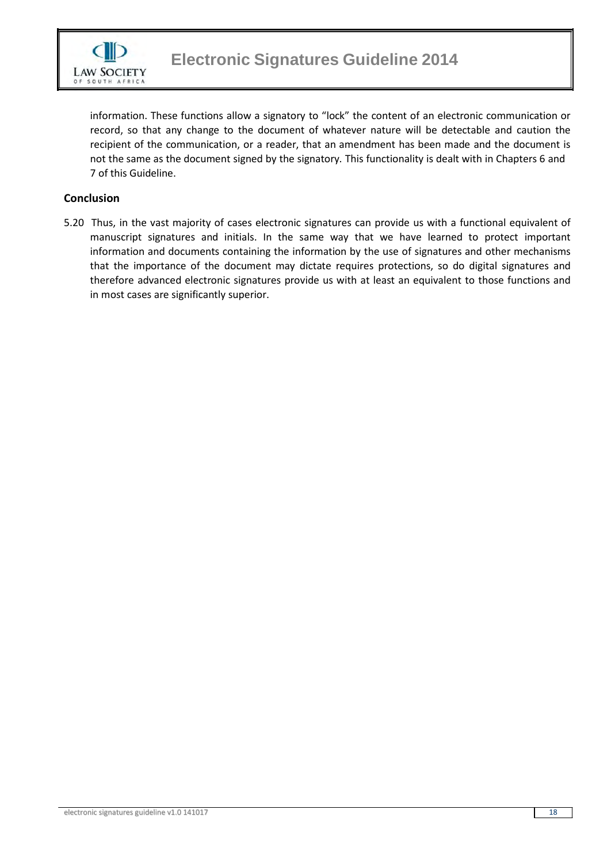

information. These functions allow a signatory to "lock" the content of an electronic communication or record, so that any change to the document of whatever nature will be detectable and caution the recipient of the communication, or a reader, that an amendment has been made and the document is not the same as the document signed by the signatory. This functionality is dealt with in Chapters 6 and 7 of this Guideline.

#### **Conclusion**

5.20 Thus, in the vast majority of cases electronic signatures can provide us with a functional equivalent of manuscript signatures and initials. In the same way that we have learned to protect important information and documents containing the information by the use of signatures and other mechanisms that the importance of the document may dictate requires protections, so do digital signatures and therefore advanced electronic signatures provide us with at least an equivalent to those functions and in most cases are significantly superior.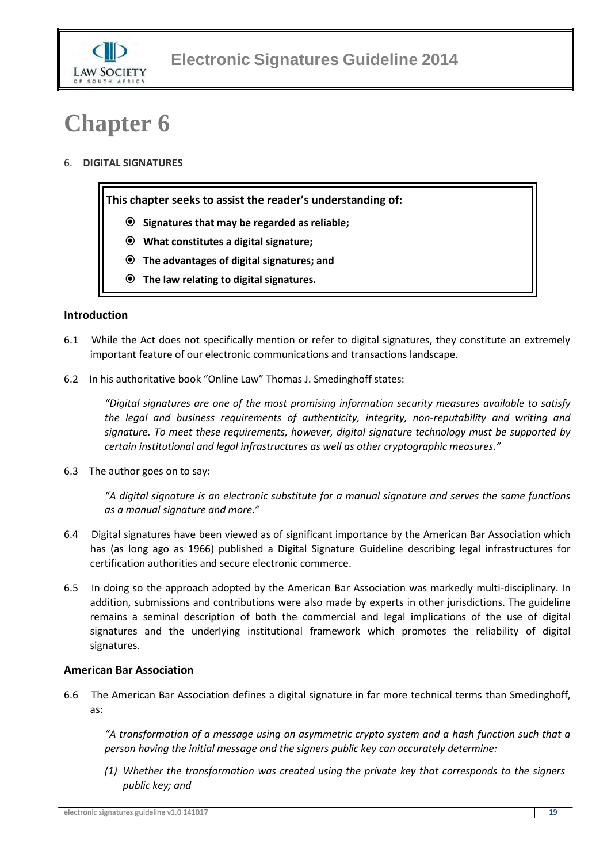

#### 6. **DIGITAL SIGNATURES**

**This chapter seeks to assist the reader's understanding of:**

- **Signatures that may be regarded as reliable;**
- **What constitutes a digital signature;**
- **The advantages of digital signatures; and**
- **The law relating to digital signatures.**

#### **Introduction**

- 6.1 While the Act does not specifically mention or refer to digital signatures, they constitute an extremely important feature of our electronic communications and transactions landscape.
- 6.2 In his authoritative book "Online Law" Thomas J. Smedinghoff states:

*"Digital signatures are one of the most promising information security measures available to satisfy the legal and business requirements of authenticity, integrity, non-reputability and writing and signature. To meet these requirements, however, digital signature technology must be supported by certain institutional and legal infrastructures as well as other cryptographic measures."*

6.3 The author goes on to say:

*"A digital signature is an electronic substitute for a manual signature and serves the same functions as a manual signature and more."*

- 6.4 Digital signatures have been viewed as of significant importance by the American Bar Association which has (as long ago as 1966) published a Digital Signature Guideline describing legal infrastructures for certification authorities and secure electronic commerce.
- 6.5 In doing so the approach adopted by the American Bar Association was markedly multi-disciplinary. In addition, submissions and contributions were also made by experts in other jurisdictions. The guideline remains a seminal description of both the commercial and legal implications of the use of digital signatures and the underlying institutional framework which promotes the reliability of digital signatures.

#### **American Bar Association**

6.6 The American Bar Association defines a digital signature in far more technical terms than Smedinghoff, as:

*"A transformation of a message using an asymmetric crypto system and a hash function such that a person having the initial message and the signers public key can accurately determine:*

*(1) Whether the transformation was created using the private key that corresponds to the signers public key; and*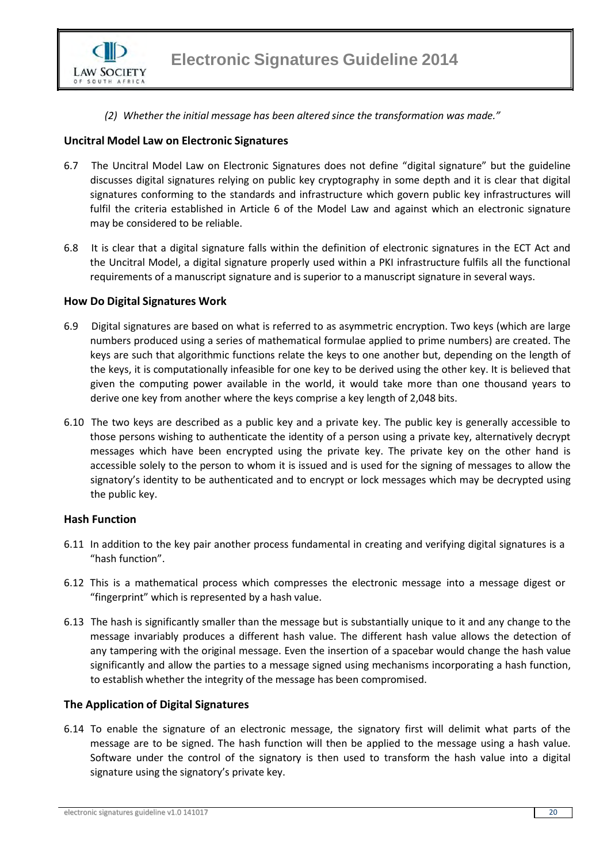

*(2) Whether the initial message has been altered since the transformation was made."*

#### **Uncitral Model Law on Electronic Signatures**

- 6.7 The Uncitral Model Law on Electronic Signatures does not define "digital signature" but the guideline discusses digital signatures relying on public key cryptography in some depth and it is clear that digital signatures conforming to the standards and infrastructure which govern public key infrastructures will fulfil the criteria established in Article 6 of the Model Law and against which an electronic signature may be considered to be reliable.
- 6.8 It is clear that a digital signature falls within the definition of electronic signatures in the ECT Act and the Uncitral Model, a digital signature properly used within a PKI infrastructure fulfils all the functional requirements of a manuscript signature and is superior to a manuscript signature in several ways.

#### **How Do Digital Signatures Work**

- 6.9 Digital signatures are based on what is referred to as asymmetric encryption. Two keys (which are large numbers produced using a series of mathematical formulae applied to prime numbers) are created. The keys are such that algorithmic functions relate the keys to one another but, depending on the length of the keys, it is computationally infeasible for one key to be derived using the other key. It is believed that given the computing power available in the world, it would take more than one thousand years to derive one key from another where the keys comprise a key length of 2,048 bits.
- 6.10 The two keys are described as a public key and a private key. The public key is generally accessible to those persons wishing to authenticate the identity of a person using a private key, alternatively decrypt messages which have been encrypted using the private key. The private key on the other hand is accessible solely to the person to whom it is issued and is used for the signing of messages to allow the signatory's identity to be authenticated and to encrypt or lock messages which may be decrypted using the public key.

#### **Hash Function**

- 6.11 In addition to the key pair another process fundamental in creating and verifying digital signatures is a "hash function".
- 6.12 This is a mathematical process which compresses the electronic message into a message digest or "fingerprint" which is represented by a hash value.
- 6.13 The hash is significantly smaller than the message but is substantially unique to it and any change to the message invariably produces a different hash value. The different hash value allows the detection of any tampering with the original message. Even the insertion of a spacebar would change the hash value significantly and allow the parties to a message signed using mechanisms incorporating a hash function, to establish whether the integrity of the message has been compromised.

#### **The Application of Digital Signatures**

6.14 To enable the signature of an electronic message, the signatory first will delimit what parts of the message are to be signed. The hash function will then be applied to the message using a hash value. Software under the control of the signatory is then used to transform the hash value into a digital signature using the signatory's private key.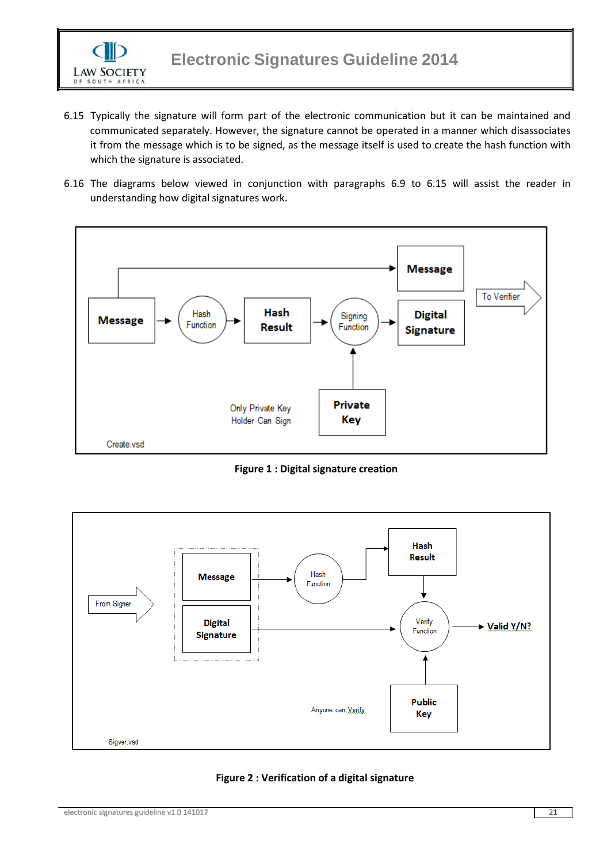

- 6.15 Typically the signature will form part of the electronic communication but it can be maintained and communicated separately. However, the signature cannot be operated in a manner which disassociates it from the message which is to be signed, as the message itself is used to create the hash function with which the signature is associated.
- 6.16 The diagrams below viewed in conjunction with paragraphs 6.9 to 6.15 will assist the reader in understanding how digital signatures work.



**Figure 1 : Digital signature creation**



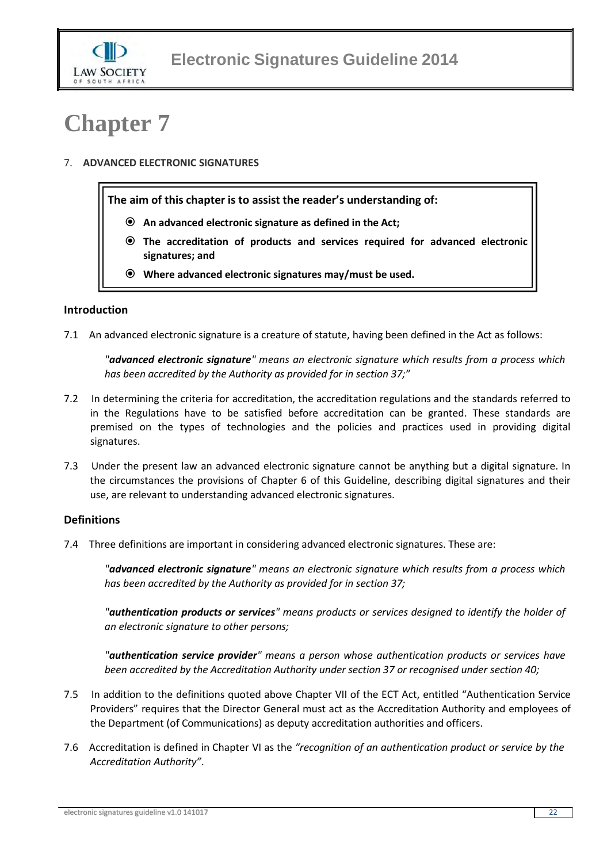

#### 7. **ADVANCED ELECTRONIC SIGNATURES**

**The aim of this chapter is to assist the reader's understanding of:**

- **An advanced electronic signature as defined in the Act;**
- **The accreditation of products and services required for advanced electronic signatures; and**
- **Where advanced electronic signatures may/must be used.**

#### **Introduction**

7.1 An advanced electronic signature is a creature of statute, having been defined in the Act as follows:

*"advanced electronic signature" means an [electronic signature w](http://www.internet.org.za/ect_act.html#electronic_signature)hich results from a process which has been accredited by the Authority as provided fo[r in section 37;](http://www.internet.org.za/ect_act.html#37)"*

- 7.2 In determining the criteria for accreditation, the accreditation regulations and the standards referred to in the Regulations have to be satisfied before accreditation can be granted. These standards are premised on the types of technologies and the policies and practices used in providing digital signatures.
- 7.3 Under the present law an advanced electronic signature cannot be anything but a digital signature. In the circumstances the provisions of Chapter 6 of this Guideline, describing digital signatures and their use, are relevant to understanding advanced electronic signatures.

#### **Definitions**

7.4 Three definitions are important in considering advanced electronic signatures. These are:

*"advanced electronic signature" means an [electronic signature w](http://www.internet.org.za/ect_act.html#electronic_signature)hich results from a process which has been accredited by the Authority as provided fo[r in section 37;](http://www.internet.org.za/ect_act.html#37)*

*"authentication products or services" means products or services designed to identify the holder of [an electronic signature t](http://www.internet.org.za/ect_act.html#electronic_signature)o other [persons](http://www.internet.org.za/ect_act.html#person);*

*"authentication service provider" means a [person](http://www.internet.org.za/ect_act.html#person) whose [authentication products](http://www.internet.org.za/ect_act.html#authentication_products_or_services) or services have been accredited by the Accreditation Authority unde[r section 37 o](http://www.internet.org.za/ect_act.html#37)r recognised under [section 40;](http://www.internet.org.za/ect_act.html#40)*

- 7.5 In addition to the definitions quoted above Chapter VII of the ECT Act, entitled "Authentication Service Providers" requires that the Director General must act as the Accreditation Authority and employees of the Department (of Communications) as deputy accreditation authorities and officers.
- 7.6 Accreditation is defined in Chapter VI as the *"recognition of an authentication product or service by the Accreditation Authority"*.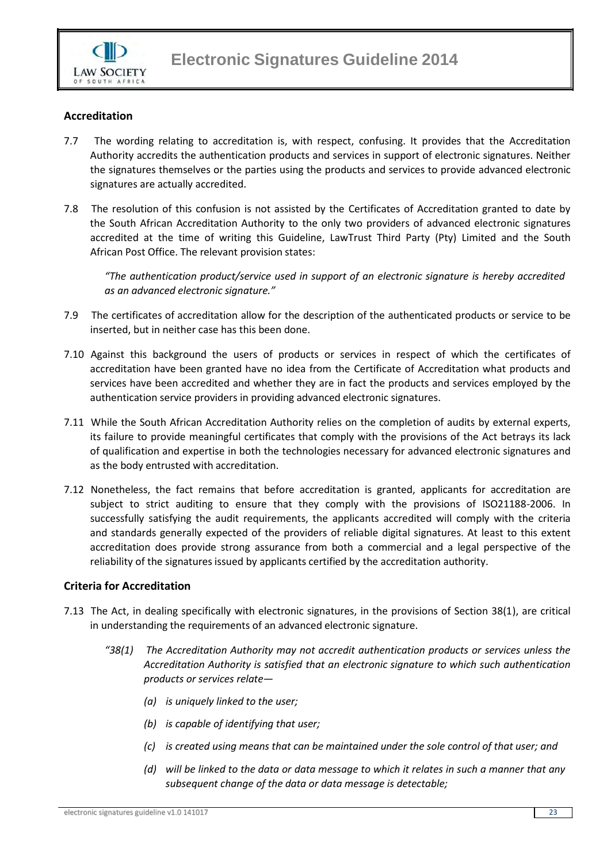

#### **Accreditation**

- 7.7 The wording relating to accreditation is, with respect, confusing. It provides that the Accreditation Authority accredits the authentication products and services in support of electronic signatures. Neither the signatures themselves or the parties using the products and services to provide advanced electronic signatures are actually accredited.
- 7.8 The resolution of this confusion is not assisted by the Certificates of Accreditation granted to date by the South African Accreditation Authority to the only two providers of advanced electronic signatures accredited at the time of writing this Guideline, LawTrust Third Party (Pty) Limited and the South African Post Office. The relevant provision states:

*"The authentication product/service used in support of an electronic signature is hereby accredited as an advanced electronic signature."*

- 7.9 The certificates of accreditation allow for the description of the authenticated products or service to be inserted, but in neither case has this been done.
- 7.10 Against this background the users of products or services in respect of which the certificates of accreditation have been granted have no idea from the Certificate of Accreditation what products and services have been accredited and whether they are in fact the products and services employed by the authentication service providers in providing advanced electronic signatures.
- 7.11 While the South African Accreditation Authority relies on the completion of audits by external experts, its failure to provide meaningful certificates that comply with the provisions of the Act betrays its lack of qualification and expertise in both the technologies necessary for advanced electronic signatures and as the body entrusted with accreditation.
- 7.12 Nonetheless, the fact remains that before accreditation is granted, applicants for accreditation are subject to strict auditing to ensure that they comply with the provisions of ISO21188-2006. In successfully satisfying the audit requirements, the applicants accredited will comply with the criteria and standards generally expected of the providers of reliable digital signatures. At least to this extent accreditation does provide strong assurance from both a commercial and a legal perspective of the reliability of the signatures issued by applicants certified by the accreditation authority.

#### **Criteria for Accreditation**

- 7.13 The Act, in dealing specifically with electronic signatures, in the provisions of Section 38(1), are critical in understanding the requirements of an advanced electronic signature.
	- *"38(1) The Accreditation Authority may not accredit [authentication products or services u](http://www.internet.org.za/ect_act.html#authentication_products_or_services)nless the Accreditation Authority is satisfied that an [electronic signature t](http://www.internet.org.za/ect_act.html#electronic_signature)o which such [authentication](http://www.internet.org.za/ect_act.html#authentication_products_or_services) products [or service](http://www.internet.org.za/ect_act.html#authentication_products_or_services)s relate—*
		- *(a) is uniquely linked to the user;*
		- *(b) is capable of identifying that user;*
		- *(c) is created using means that can be maintained under the sole control of that user; and*
		- *(d) will be linked to the [data](http://www.internet.org.za/ect_act.html#data) or data [message t](http://www.internet.org.za/ect_act.html#data_message)o which it relates in such a manner that any subsequent change of the [dat](http://www.internet.org.za/ect_act.html#data)a or data [message i](http://www.internet.org.za/ect_act.html#data_message)s detectable;*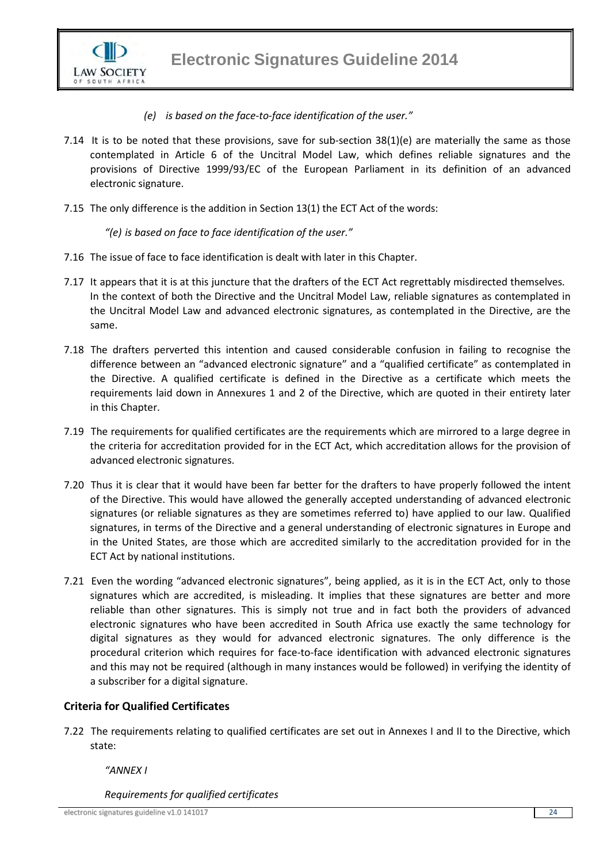

- *(e) is based on the face-to-face identification of the user."*
- 7.14 It is to be noted that these provisions, save for sub-section 38(1)(e) are materially the same as those contemplated in Article 6 of the Uncitral Model Law, which defines reliable signatures and the provisions of Directive 1999/93/EC of the European Parliament in its definition of an advanced electronic signature.
- 7.15 The only difference is the addition in Section 13(1) the ECT Act of the words:

*"(e) is based on face to face identification of the user."*

- 7.16 The issue of face to face identification is dealt with later in this Chapter.
- 7.17 It appears that it is at this juncture that the drafters of the ECT Act regrettably misdirected themselves. In the context of both the Directive and the Uncitral Model Law, reliable signatures as contemplated in the Uncitral Model Law and advanced electronic signatures, as contemplated in the Directive, are the same.
- 7.18 The drafters perverted this intention and caused considerable confusion in failing to recognise the difference between an "advanced electronic signature" and a "qualified certificate" as contemplated in the Directive. A qualified certificate is defined in the Directive as a certificate which meets the requirements laid down in Annexures 1 and 2 of the Directive, which are quoted in their entirety later in this Chapter.
- 7.19 The requirements for qualified certificates are the requirements which are mirrored to a large degree in the criteria for accreditation provided for in the ECT Act, which accreditation allows for the provision of advanced electronic signatures.
- 7.20 Thus it is clear that it would have been far better for the drafters to have properly followed the intent of the Directive. This would have allowed the generally accepted understanding of advanced electronic signatures (or reliable signatures as they are sometimes referred to) have applied to our law. Qualified signatures, in terms of the Directive and a general understanding of electronic signatures in Europe and in the United States, are those which are accredited similarly to the accreditation provided for in the ECT Act by national institutions.
- 7.21 Even the wording "advanced electronic signatures", being applied, as it is in the ECT Act, only to those signatures which are accredited, is misleading. It implies that these signatures are better and more reliable than other signatures. This is simply not true and in fact both the providers of advanced electronic signatures who have been accredited in South Africa use exactly the same technology for digital signatures as they would for advanced electronic signatures. The only difference is the procedural criterion which requires for face-to-face identification with advanced electronic signatures and this may not be required (although in many instances would be followed) in verifying the identity of a subscriber for a digital signature.

#### **Criteria for Qualified Certificates**

7.22 The requirements relating to qualified certificates are set out in Annexes I and II to the Directive, which state:

*"ANNEX I*

*Requirements for qualified certificates*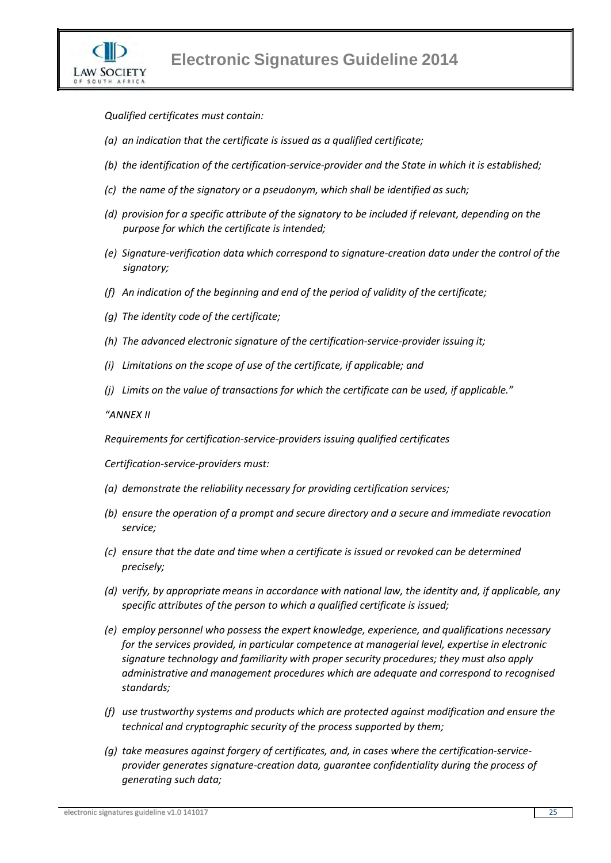

*Qualified certificates must contain:*

- *(a) an indication that the certificate is issued as a qualified certificate;*
- *(b) the identification of the certification-service-provider and the State in which it is established;*
- *(c) the name of the signatory or a pseudonym, which shall be identified as such;*
- *(d) provision for a specific attribute of the signatory to be included if relevant, depending on the purpose for which the certificate is intended;*
- *(e) Signature-verification data which correspond to signature-creation data under the control of the signatory;*
- *(f) An indication of the beginning and end of the period of validity of the certificate;*
- *(g) The identity code of the certificate;*
- *(h) The advanced electronic signature of the certification-service-provider issuing it;*
- *(i) Limitations on the scope of use of the certificate, if applicable; and*
- *(j) Limits on the value of transactions for which the certificate can be used, if applicable."*

*"ANNEX II*

*Requirements for certification-service-providers issuing qualified certificates*

*Certification-service-providers must:*

- *(a) demonstrate the reliability necessary for providing certification services;*
- *(b) ensure the operation of a prompt and secure directory and a secure and immediate revocation service;*
- *(c) ensure that the date and time when a certificate is issued or revoked can be determined precisely;*
- *(d) verify, by appropriate means in accordance with national law, the identity and, if applicable, any specific attributes of the person to which a qualified certificate is issued;*
- *(e) employ personnel who possess the expert knowledge, experience, and qualifications necessary for the services provided, in particular competence at managerial level, expertise in electronic signature technology and familiarity with proper security procedures; they must also apply administrative and management procedures which are adequate and correspond to recognised standards;*
- *(f) use trustworthy systems and products which are protected against modification and ensure the technical and cryptographic security of the process supported by them;*
- *(g) take measures against forgery of certificates, and, in cases where the certification-serviceprovider generates signature-creation data, guarantee confidentiality during the process of generating such data;*

electronic signatures guideline v1.0 141017 25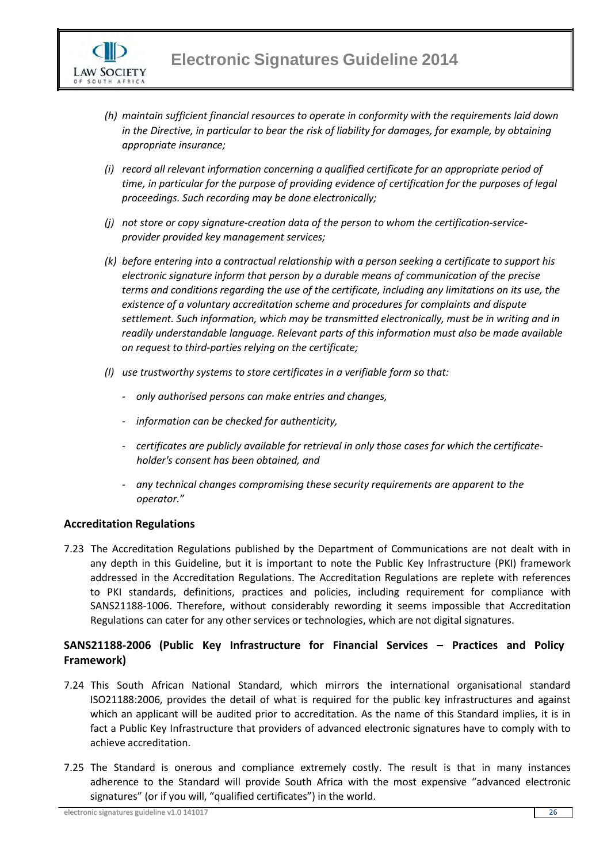

- *(h) maintain sufficient financial resources to operate in conformity with the requirements laid down in the Directive, in particular to bear the risk of liability for damages, for example, by obtaining appropriate insurance;*
- *(i) record all relevant information concerning a qualified certificate for an appropriate period of time, in particular for the purpose of providing evidence of certification for the purposes of legal proceedings. Such recording may be done electronically;*
- *(j) not store or copy signature-creation data of the person to whom the certification-serviceprovider provided key management services;*
- *(k) before entering into a contractual relationship with a person seeking a certificate to support his electronic signature inform that person by a durable means of communication of the precise terms and conditions regarding the use of the certificate, including any limitations on its use, the existence of a voluntary accreditation scheme and procedures for complaints and dispute settlement. Such information, which may be transmitted electronically, must be in writing and in readily understandable language. Relevant parts of this information must also be made available on request to third-parties relying on the certificate;*
- *(l) use trustworthy systems to store certificates in a verifiable form so that:*
	- *only authorised persons can make entries and changes,*
	- *information can be checked for authenticity,*
	- *certificates are publicly available for retrieval in only those cases for which the certificateholder's consent has been obtained, and*
	- *any technical changes compromising these security requirements are apparent to the operator."*

#### **Accreditation Regulations**

7.23 The Accreditation Regulations published by the Department of Communications are not dealt with in any depth in this Guideline, but it is important to note the Public Key Infrastructure (PKI) framework addressed in the Accreditation Regulations. The Accreditation Regulations are replete with references to PKI standards, definitions, practices and policies, including requirement for compliance with SANS21188-1006. Therefore, without considerably rewording it seems impossible that Accreditation Regulations can cater for any other services or technologies, which are not digital signatures.

#### **SANS21188-2006 (Public Key Infrastructure for Financial Services – Practices and Policy Framework)**

- 7.24 This South African National Standard, which mirrors the international organisational standard ISO21188:2006, provides the detail of what is required for the public key infrastructures and against which an applicant will be audited prior to accreditation. As the name of this Standard implies, it is in fact a Public Key Infrastructure that providers of advanced electronic signatures have to comply with to achieve accreditation.
- 7.25 The Standard is onerous and compliance extremely costly. The result is that in many instances adherence to the Standard will provide South Africa with the most expensive "advanced electronic signatures" (or if you will, "qualified certificates") in the world.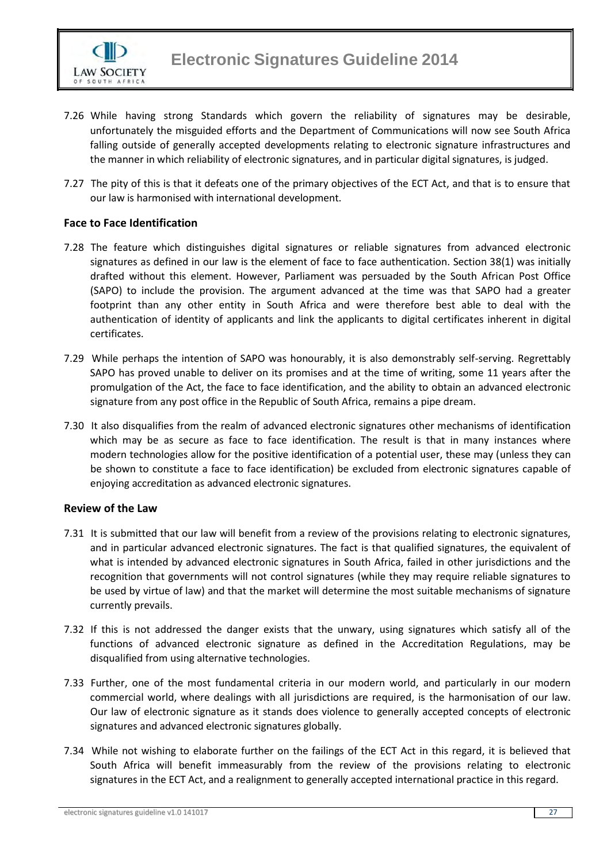

- 7.26 While having strong Standards which govern the reliability of signatures may be desirable, unfortunately the misguided efforts and the Department of Communications will now see South Africa falling outside of generally accepted developments relating to electronic signature infrastructures and the manner in which reliability of electronic signatures, and in particular digital signatures, is judged.
- 7.27 The pity of this is that it defeats one of the primary objectives of the ECT Act, and that is to ensure that our law is harmonised with international development.

#### **Face to Face Identification**

- 7.28 The feature which distinguishes digital signatures or reliable signatures from advanced electronic signatures as defined in our law is the element of face to face authentication. Section 38(1) was initially drafted without this element. However, Parliament was persuaded by the South African Post Office (SAPO) to include the provision. The argument advanced at the time was that SAPO had a greater footprint than any other entity in South Africa and were therefore best able to deal with the authentication of identity of applicants and link the applicants to digital certificates inherent in digital certificates.
- 7.29 While perhaps the intention of SAPO was honourably, it is also demonstrably self-serving. Regrettably SAPO has proved unable to deliver on its promises and at the time of writing, some 11 years after the promulgation of the Act, the face to face identification, and the ability to obtain an advanced electronic signature from any post office in the Republic of South Africa, remains a pipe dream.
- 7.30 It also disqualifies from the realm of advanced electronic signatures other mechanisms of identification which may be as secure as face to face identification. The result is that in many instances where modern technologies allow for the positive identification of a potential user, these may (unless they can be shown to constitute a face to face identification) be excluded from electronic signatures capable of enjoying accreditation as advanced electronic signatures.

#### **Review of the Law**

- 7.31 It is submitted that our law will benefit from a review of the provisions relating to electronic signatures, and in particular advanced electronic signatures. The fact is that qualified signatures, the equivalent of what is intended by advanced electronic signatures in South Africa, failed in other jurisdictions and the recognition that governments will not control signatures (while they may require reliable signatures to be used by virtue of law) and that the market will determine the most suitable mechanisms of signature currently prevails.
- 7.32 If this is not addressed the danger exists that the unwary, using signatures which satisfy all of the functions of advanced electronic signature as defined in the Accreditation Regulations, may be disqualified from using alternative technologies.
- 7.33 Further, one of the most fundamental criteria in our modern world, and particularly in our modern commercial world, where dealings with all jurisdictions are required, is the harmonisation of our law. Our law of electronic signature as it stands does violence to generally accepted concepts of electronic signatures and advanced electronic signatures globally.
- 7.34 While not wishing to elaborate further on the failings of the ECT Act in this regard, it is believed that South Africa will benefit immeasurably from the review of the provisions relating to electronic signatures in the ECT Act, and a realignment to generally accepted international practice in this regard.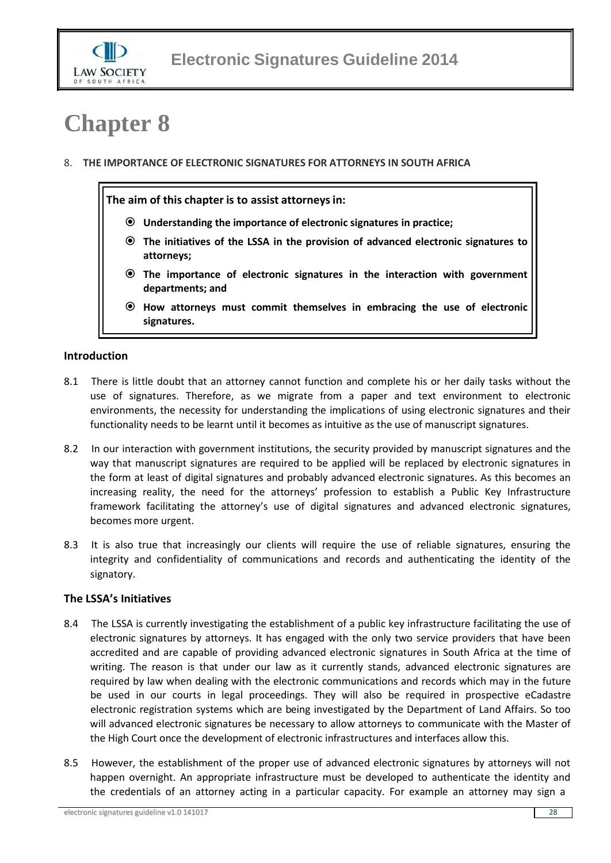

#### 8. **THE IMPORTANCE OF ELECTRONIC SIGNATURES FOR ATTORNEYS IN SOUTH AFRICA**

**The aim of this chapter is to assist attorneys in:**

- **Understanding the importance of electronic signatures in practice;**
- **The initiatives of the LSSA in the provision of advanced electronic signatures to attorneys;**
- **The importance of electronic signatures in the interaction with government departments; and**
- **How attorneys must commit themselves in embracing the use of electronic signatures.**

#### **Introduction**

- 8.1 There is little doubt that an attorney cannot function and complete his or her daily tasks without the use of signatures. Therefore, as we migrate from a paper and text environment to electronic environments, the necessity for understanding the implications of using electronic signatures and their functionality needs to be learnt until it becomes as intuitive as the use of manuscript signatures.
- 8.2 In our interaction with government institutions, the security provided by manuscript signatures and the way that manuscript signatures are required to be applied will be replaced by electronic signatures in the form at least of digital signatures and probably advanced electronic signatures. As this becomes an increasing reality, the need for the attorneys' profession to establish a Public Key Infrastructure framework facilitating the attorney's use of digital signatures and advanced electronic signatures, becomes more urgent.
- 8.3 It is also true that increasingly our clients will require the use of reliable signatures, ensuring the integrity and confidentiality of communications and records and authenticating the identity of the signatory.

#### **The LSSA's Initiatives**

- 8.4 The LSSA is currently investigating the establishment of a public key infrastructure facilitating the use of electronic signatures by attorneys. It has engaged with the only two service providers that have been accredited and are capable of providing advanced electronic signatures in South Africa at the time of writing. The reason is that under our law as it currently stands, advanced electronic signatures are required by law when dealing with the electronic communications and records which may in the future be used in our courts in legal proceedings. They will also be required in prospective eCadastre electronic registration systems which are being investigated by the Department of Land Affairs. So too will advanced electronic signatures be necessary to allow attorneys to communicate with the Master of the High Court once the development of electronic infrastructures and interfaces allow this.
- 8.5 However, the establishment of the proper use of advanced electronic signatures by attorneys will not happen overnight. An appropriate infrastructure must be developed to authenticate the identity and the credentials of an attorney acting in a particular capacity. For example an attorney may sign a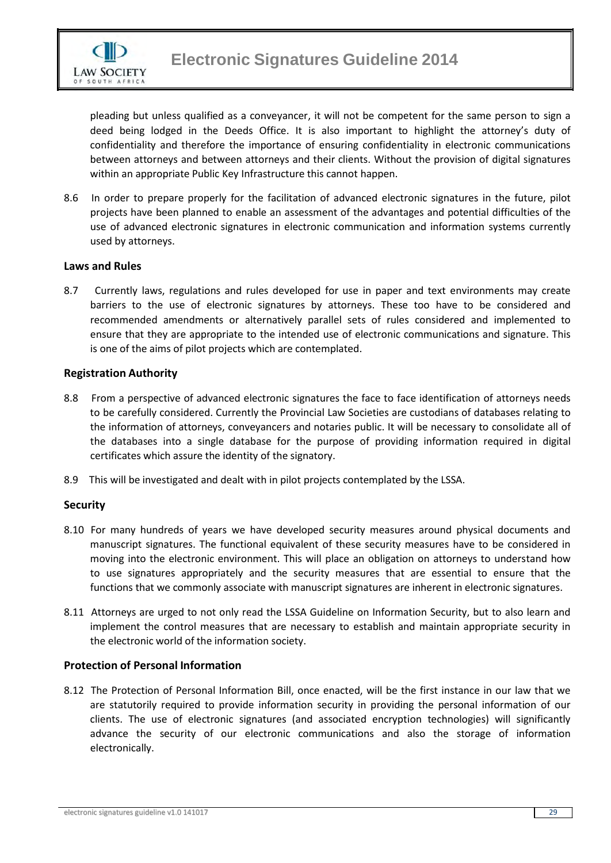

**Electronic Signatures Guideline 2014**

pleading but unless qualified as a conveyancer, it will not be competent for the same person to sign a deed being lodged in the Deeds Office. It is also important to highlight the attorney's duty of confidentiality and therefore the importance of ensuring confidentiality in electronic communications between attorneys and between attorneys and their clients. Without the provision of digital signatures within an appropriate Public Key Infrastructure this cannot happen.

8.6 In order to prepare properly for the facilitation of advanced electronic signatures in the future, pilot projects have been planned to enable an assessment of the advantages and potential difficulties of the use of advanced electronic signatures in electronic communication and information systems currently used by attorneys.

#### **Laws and Rules**

8.7 Currently laws, regulations and rules developed for use in paper and text environments may create barriers to the use of electronic signatures by attorneys. These too have to be considered and recommended amendments or alternatively parallel sets of rules considered and implemented to ensure that they are appropriate to the intended use of electronic communications and signature. This is one of the aims of pilot projects which are contemplated.

#### **Registration Authority**

- 8.8 From a perspective of advanced electronic signatures the face to face identification of attorneys needs to be carefully considered. Currently the Provincial Law Societies are custodians of databases relating to the information of attorneys, conveyancers and notaries public. It will be necessary to consolidate all of the databases into a single database for the purpose of providing information required in digital certificates which assure the identity of the signatory.
- 8.9 This will be investigated and dealt with in pilot projects contemplated by the LSSA.

#### **Security**

- 8.10 For many hundreds of years we have developed security measures around physical documents and manuscript signatures. The functional equivalent of these security measures have to be considered in moving into the electronic environment. This will place an obligation on attorneys to understand how to use signatures appropriately and the security measures that are essential to ensure that the functions that we commonly associate with manuscript signatures are inherent in electronic signatures.
- 8.11 Attorneys are urged to not only read the LSSA Guideline on Information Security, but to also learn and implement the control measures that are necessary to establish and maintain appropriate security in the electronic world of the information society.

#### **Protection of Personal Information**

8.12 The Protection of Personal Information Bill, once enacted, will be the first instance in our law that we are statutorily required to provide information security in providing the personal information of our clients. The use of electronic signatures (and associated encryption technologies) will significantly advance the security of our electronic communications and also the storage of information electronically.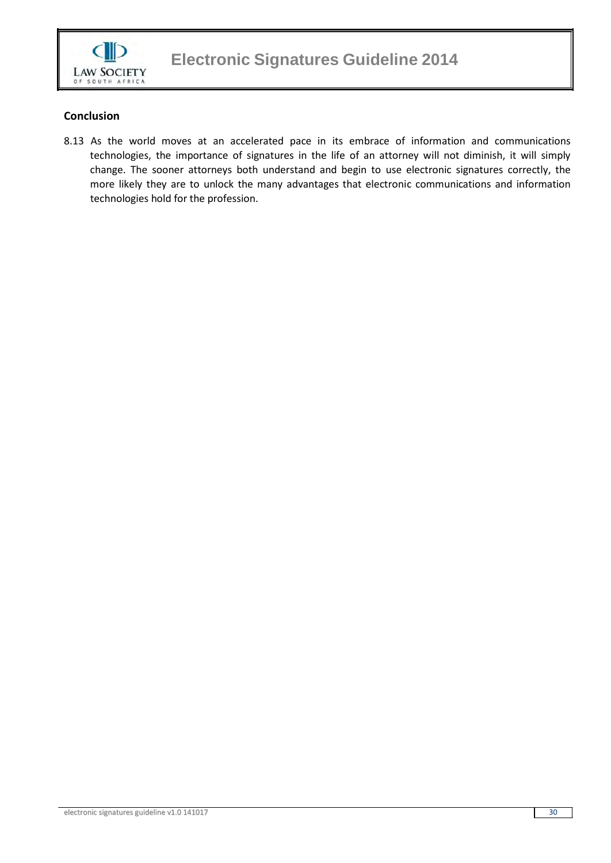

#### **Conclusion**

8.13 As the world moves at an accelerated pace in its embrace of information and communications technologies, the importance of signatures in the life of an attorney will not diminish, it will simply change. The sooner attorneys both understand and begin to use electronic signatures correctly, the more likely they are to unlock the many advantages that electronic communications and information technologies hold for the profession.